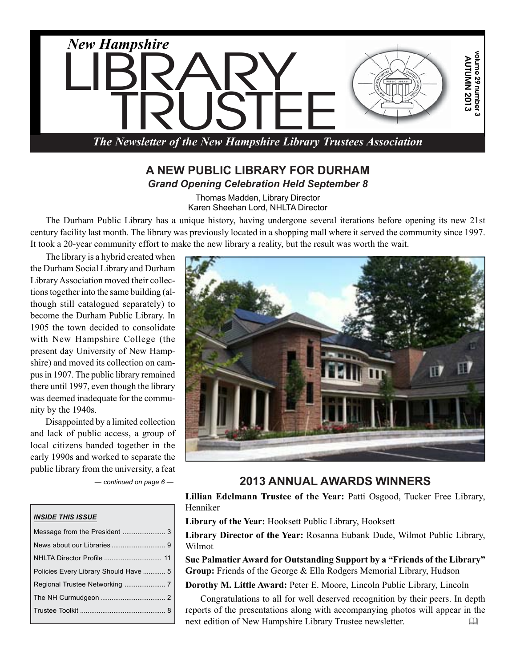

### **A NEW PUBLIC LIBRARY FOR DURHAM** *Grand Opening Celebration Held September 8*

Thomas Madden, Library Director Karen Sheehan Lord, NHLTA Director

The Durham Public Library has a unique history, having undergone several iterations before opening its new 21st century facility last month. The library was previously located in a shopping mall where it served the community since 1997. It took a 20-year community effort to make the new library a reality, but the result was worth the wait.

The library is a hybrid created when the Durham Social Library and Durham Library Association moved their collections together into the same building (although still catalogued separately) to become the Durham Public Library. In 1905 the town decided to consolidate with New Hampshire College (the present day University of New Hampshire) and moved its collection on campus in 1907. The public library remained there until 1997, even though the library was deemed inadequate for the community by the 1940s.

Disappointed by a limited collection and lack of public access, a group of local citizens banded together in the early 1990s and worked to separate the public library from the university, a feat

#### *INSIDE THIS ISSUE*

| NHLTA Director Profile  11            |  |
|---------------------------------------|--|
| Policies Every Library Should Have  5 |  |
|                                       |  |
|                                       |  |
|                                       |  |
|                                       |  |



### *— continued on page 6 —* **2013 ANNUAL AWARDS WINNERS**

Lillian Edelmann Trustee of the Year: Patti Osgood, Tucker Free Library, Henniker

**Library of the Year:** Hooksett Public Library, Hooksett

**Library Director of the Year:** Rosanna Eubank Dude, Wilmot Public Library, Wilmot

**Sue Palmatier Award for Outstanding Support by a "Friends of the Library" Group:** Friends of the George & Ella Rodgers Memorial Library, Hudson

**Dorothy M. Little Award:** Peter E. Moore, Lincoln Public Library, Lincoln

Congratulations to all for well deserved recognition by their peers. In depth reports of the presentations along with accompanying photos will appear in the next edition of New Hampshire Library Trustee newsletter.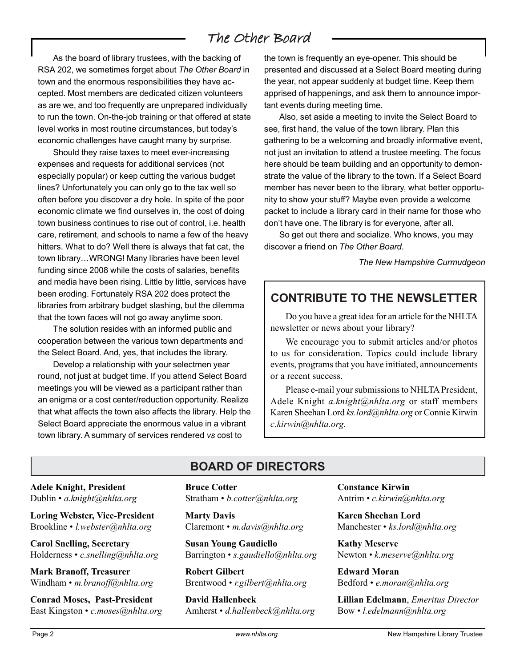# The Other Board

As the board of library trustees, with the backing of RSA 202, we sometimes forget about *The Other Board* in town and the enormous responsibilities they have accepted. Most members are dedicated citizen volunteers as are we, and too frequently are unprepared individually to run the town. On-the-job training or that offered at state level works in most routine circumstances, but today's economic challenges have caught many by surprise.

Should they raise taxes to meet ever-increasing expenses and requests for additional services (not especially popular) or keep cutting the various budget lines? Unfortunately you can only go to the tax well so often before you discover a dry hole. In spite of the poor economic climate we find ourselves in, the cost of doing town business continues to rise out of control, i.e. health care, retirement, and schools to name a few of the heavy hitters. What to do? Well there is always that fat cat, the town library…WRONG! Many libraries have been level funding since 2008 while the costs of salaries, benefits and media have been rising. Little by little, services have been eroding. Fortunately RSA 202 does protect the libraries from arbitrary budget slashing, but the dilemma that the town faces will not go away anytime soon.

The solution resides with an informed public and cooperation between the various town departments and the Select Board. And, yes, that includes the library.

Develop a relationship with your selectmen year round, not just at budget time. If you attend Select Board meetings you will be viewed as a participant rather than an enigma or a cost center/reduction opportunity. Realize that what affects the town also affects the library. Help the Select Board appreciate the enormous value in a vibrant town library. A summary of services rendered *vs* cost to

the town is frequently an eye-opener. This should be presented and discussed at a Select Board meeting during the year, not appear suddenly at budget time. Keep them apprised of happenings, and ask them to announce important events during meeting time.

Also, set aside a meeting to invite the Select Board to see, first hand, the value of the town library. Plan this gathering to be a welcoming and broadly informative event, not just an invitation to attend a trustee meeting. The focus here should be team building and an opportunity to demonstrate the value of the library to the town. If a Select Board member has never been to the library, what better opportunity to show your stuff? Maybe even provide a welcome packet to include a library card in their name for those who don't have one. The library is for everyone, after all.

So get out there and socialize. Who knows, you may discover a friend on *The Other Board*.

*The New Hampshire Curmudgeon*

# **CONTRIBUTE TO THE NEWSLETTER**

Do you have a great idea for an article for the NHLTA newsletter or news about your library?

We encourage you to submit articles and/or photos to us for consideration. Topics could include library events, programs that you have initiated, announcements or a recent success.

Please e-mail your submissions to NHLTA President, Adele Knight *a.knight@nhlta.org* or staff members Karen Sheehan Lord *ks.lord@nhlta.org* or Connie Kirwin *c.kirwin@nhlta.org*.

**Adele Knight, President** Dublin • *a.knight@nhlta.org*

**Loring Webster, Vice-President** Brookline • *l.webster@nhlta.org*

**Carol Snelling, Secretary** Holderness • *c.snelling@nhlta.org*

**Mark Branoff, Treasurer** Windham • *m.branoff@nhlta.org*

**Conrad Moses, Past-President** East Kingston • *c.moses@nhlta.org*

# **BOARD OF DIRECTORS**

**Bruce Cotter** Stratham • *b.cotter@nhlta.org*

**Marty Davis** Claremont • *m.davis@nhlta.org*

**Susan Young Gaudiello** Barrington • *s.gaudiello@nhlta.org*

**Robert Gilbert** Brentwood • *r.gilbert@nhlta.org*

**David Hallenbeck** Amherst • *d.hallenbeck@nhlta.org* **Constance Kirwin** Antrim • *c.kirwin@nhlta.org*

**Karen Sheehan Lord** Manchester • *ks.lord@nhlta.org*

**Kathy Meserve** Newton • *k.meserve@nhlta.org*

**Edward Moran** Bedford • *e.moran@nhlta.org*

**Lillian Edelmann**, *Emeritus Director* Bow • *l.edelmann@nhlta.org*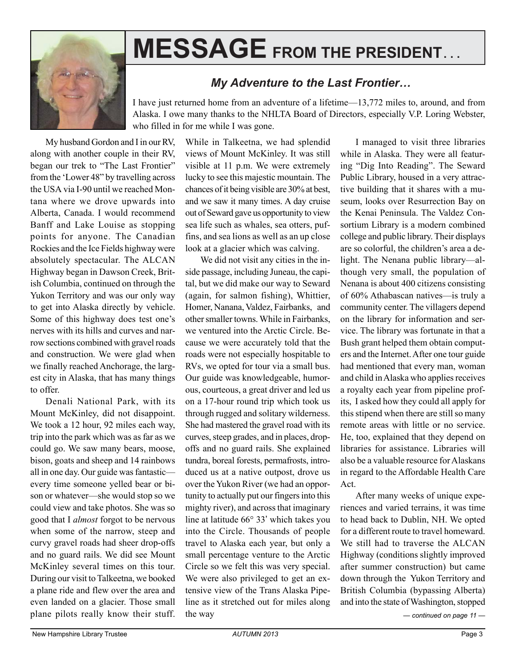

# **MESSAGE FROM THE PRESIDENT. . .**

# *My Adventure to the Last Frontier…*

I have just returned home from an adventure of a lifetime—13,772 miles to, around, and from Alaska. I owe many thanks to the NHLTA Board of Directors, especially V.P. Loring Webster, who filled in for me while I was gone.

My husband Gordon and I in our RV, along with another couple in their RV, began our trek to "The Last Frontier" from the 'Lower 48" by travelling across the USA via I-90 until we reached Montana where we drove upwards into Alberta, Canada. I would recommend Banff and Lake Louise as stopping points for anyone. The Canadian Rockies and the Ice Fields highway were absolutely spectacular. The ALCAN Highway began in Dawson Creek, British Columbia, continued on through the Yukon Territory and was our only way to get into Alaska directly by vehicle. Some of this highway does test one's nerves with its hills and curves and narrow sections combined with gravel roads and construction. We were glad when we finally reached Anchorage, the largest city in Alaska, that has many things to offer.

Denali National Park, with its Mount McKinley, did not disappoint. We took a 12 hour, 92 miles each way, trip into the park which was as far as we could go. We saw many bears, moose, bison, goats and sheep and 14 rainbows all in one day. Our guide was fantastic every time someone yelled bear or bison or whatever—she would stop so we could view and take photos. She was so good that I *almost* forgot to be nervous when some of the narrow, steep and curvy gravel roads had sheer drop-offs and no guard rails. We did see Mount McKinley several times on this tour. During our visit to Talkeetna, we booked a plane ride and flew over the area and even landed on a glacier. Those small plane pilots really know their stuff.

While in Talkeetna, we had splendid views of Mount McKinley. It was still visible at 11 p.m. We were extremely lucky to see this majestic mountain. The chances of it being visible are 30% at best, and we saw it many times. A day cruise out of Seward gave us opportunity to view sea life such as whales, sea otters, puffins, and sea lions as well as an up close look at a glacier which was calving.

We did not visit any cities in the inside passage, including Juneau, the capital, but we did make our way to Seward (again, for salmon fishing), Whittier, Homer, Nanana, Valdez, Fairbanks, and other smaller towns. While in Fairbanks, we ventured into the Arctic Circle. Because we were accurately told that the roads were not especially hospitable to RVs, we opted for tour via a small bus. Our guide was knowledgeable, humorous, courteous, a great driver and led us on a 17-hour round trip which took us through rugged and solitary wilderness. She had mastered the gravel road with its curves, steep grades, and in places, dropoffs and no guard rails. She explained tundra, boreal forests, permafrosts, introduced us at a native outpost, drove us over the Yukon River (we had an opportunity to actually put our fingers into this mighty river), and across that imaginary line at latitude 66° 33' which takes you into the Circle. Thousands of people travel to Alaska each year, but only a small percentage venture to the Arctic Circle so we felt this was very special. We were also privileged to get an extensive view of the Trans Alaska Pipeline as it stretched out for miles along the way

I managed to visit three libraries while in Alaska. They were all featuring "Dig Into Reading". The Seward Public Library, housed in a very attractive building that it shares with a museum, looks over Resurrection Bay on the Kenai Peninsula. The Valdez Consortium Library is a modern combined college and public library. Their displays are so colorful, the children's area a delight. The Nenana public library—although very small, the population of Nenana is about 400 citizens consisting of 60% Athabascan natives—is truly a community center. The villagers depend on the library for information and service. The library was fortunate in that a Bush grant helped them obtain computers and the Internet. After one tour guide had mentioned that every man, woman and child in Alaska who applies receives a royalty each year from pipeline profits, I asked how they could all apply for this stipend when there are still so many remote areas with little or no service. He, too, explained that they depend on libraries for assistance. Libraries will also be a valuable resource for Alaskans in regard to the Affordable Health Care Act.

After many weeks of unique experiences and varied terrains, it was time to head back to Dublin, NH. We opted for a different route to travel homeward. We still had to traverse the ALCAN Highway (conditions slightly improved after summer construction) but came down through the Yukon Territory and British Columbia (bypassing Alberta) and into the state of Washington, stopped

*— continued on page 11 —*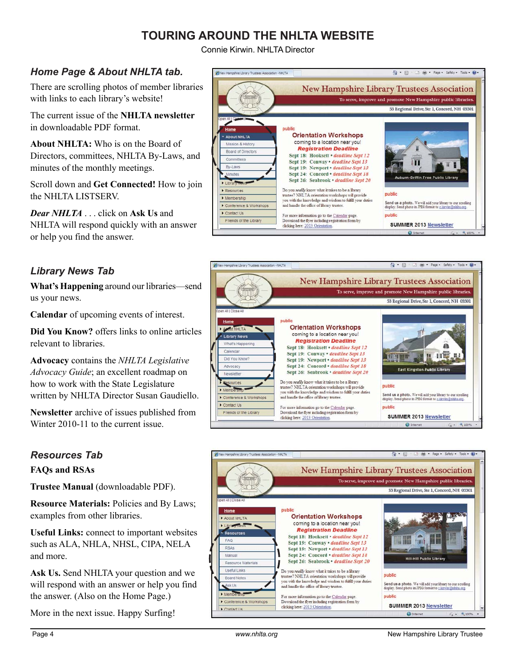# **TOURING AROUND THE NHLTA WEBSITE**

Connie Kirwin. NHLTA Director

## *Home Page & About NHLTA tab.*

There are scrolling photos of member libraries with links to each library's website!

The current issue of the **NHLTA newsletter** in downloadable PDF format.

**About NHLTA:** Who is on the Board of Directors, committees, NHLTA By-Laws, and minutes of the monthly meetings.

Scroll down and **Get Connected!** How to join the NHLTA LISTSERV.

*Dear NHLTA* . . . click on **Ask Us** and NHLTA will respond quickly with an answer or help you find the answer.

### *Library News Tab*

**What's Happening** around our libraries—send us your news.

**Calendar** of upcoming events of interest.

**Did You Know?** offers links to online articles relevant to libraries.

**Advocacy** contains the *NHLTA Legislative Advocacy Guide*; an excellent roadmap on how to work with the State Legislature written by NHLTA Director Susan Gaudiello.

**Newsletter** archive of issues published from Winter 2010-11 to the current issue.

### *Resources Tab*

**FAQs and RSAs**

**Trustee Manual** (downloadable PDF).

**Resource Materials:** Policies and By Laws; examples from other libraries.

**Useful Links:** connect to important websites such as ALA, NHLA, NHSL, CIPA, NELA and more.

**Ask Us.** Send NHLTA your question and we will respond with an answer or help you find the answer. (Also on the Home Page.)

More in the next issue. Happy Surfing!





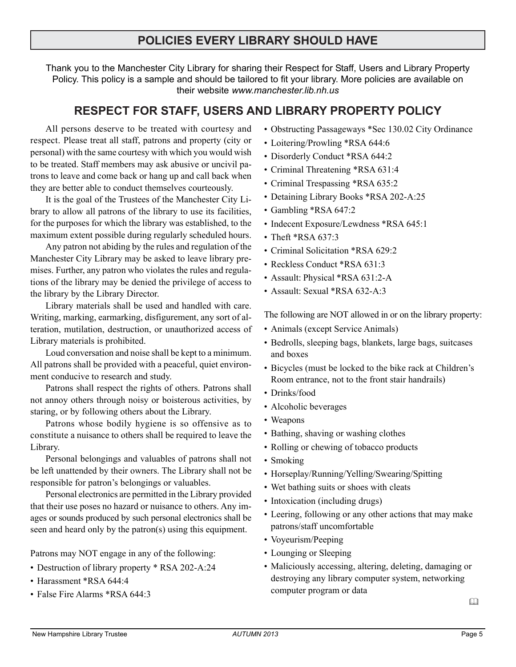# **POLICIES EVERY LIBRARY SHOULD HAVE**

Thank you to the Manchester City Library for sharing their Respect for Staff, Users and Library Property Policy. This policy is a sample and should be tailored to fit your library. More policies are available on their website *www.manchester.lib.nh.us*

# **RESPECT FOR STAFF, USERS AND LIBRARY PROPERTY POLICY**

All persons deserve to be treated with courtesy and respect. Please treat all staff, patrons and property (city or personal) with the same courtesy with which you would wish to be treated. Staff members may ask abusive or uncivil patrons to leave and come back or hang up and call back when they are better able to conduct themselves courteously.

It is the goal of the Trustees of the Manchester City Library to allow all patrons of the library to use its facilities, for the purposes for which the library was established, to the maximum extent possible during regularly scheduled hours.

Any patron not abiding by the rules and regulation of the Manchester City Library may be asked to leave library premises. Further, any patron who violates the rules and regulations of the library may be denied the privilege of access to the library by the Library Director.

Library materials shall be used and handled with care. Writing, marking, earmarking, disfigurement, any sort of alteration, mutilation, destruction, or unauthorized access of Library materials is prohibited.

Loud conversation and noise shall be kept to a minimum. All patrons shall be provided with a peaceful, quiet environment conducive to research and study.

Patrons shall respect the rights of others. Patrons shall not annoy others through noisy or boisterous activities, by staring, or by following others about the Library.

Patrons whose bodily hygiene is so offensive as to constitute a nuisance to others shall be required to leave the Library.

Personal belongings and valuables of patrons shall not be left unattended by their owners. The Library shall not be responsible for patron's belongings or valuables.

Personal electronics are permitted in the Library provided that their use poses no hazard or nuisance to others. Any images or sounds produced by such personal electronics shall be seen and heard only by the patron(s) using this equipment.

Patrons may NOT engage in any of the following:

- Destruction of library property \* RSA 202-A:24
- Harassment \*RSA 644:4
- False Fire Alarms \*RSA 644.3
- Obstructing Passageways \*Sec 130.02 City Ordinance
- Loitering/Prowling \*RSA 644:6
- Disorderly Conduct \*RSA 644:2
- Criminal Threatening \*RSA 631:4
- Criminal Trespassing \*RSA 635:2
- Detaining Library Books \*RSA 202-A:25
- Gambling \*RSA 647:2
- Indecent Exposure/Lewdness \*RSA 645:1
- Theft \*RSA 637:3
- Criminal Solicitation \*RSA 629:2
- Reckless Conduct \*RSA 631:3
- Assault: Physical \*RSA 631:2-A
- Assault: Sexual \*RSA 632-A:3

The following are NOT allowed in or on the library property:

- Animals (except Service Animals)
- Bedrolls, sleeping bags, blankets, large bags, suitcases and boxes
- Bicycles (must be locked to the bike rack at Children's Room entrance, not to the front stair handrails)
- Drinks/food
- Alcoholic beverages
- Weapons
- Bathing, shaving or washing clothes
- Rolling or chewing of tobacco products
- Smoking
- Horseplay/Running/Yelling/Swearing/Spitting
- Wet bathing suits or shoes with cleats
- Intoxication (including drugs)
- Leering, following or any other actions that may make patrons/staff uncomfortable
- Voyeurism/Peeping
- Lounging or Sleeping
- Maliciously accessing, altering, deleting, damaging or destroying any library computer system, networking computer program or data

 $\Box$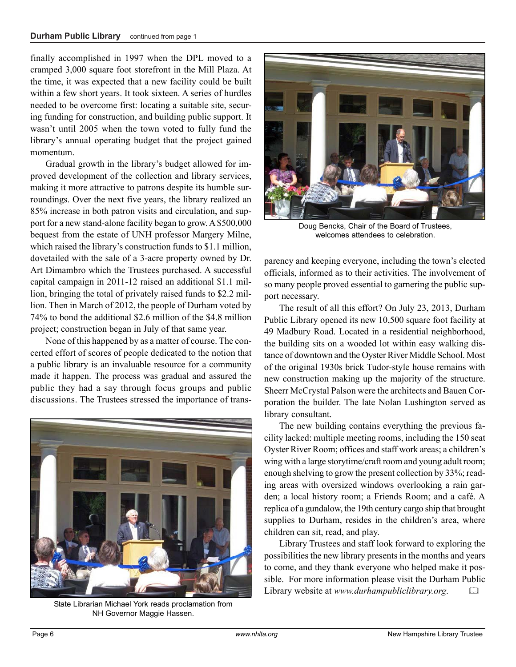finally accomplished in 1997 when the DPL moved to a cramped 3,000 square foot storefront in the Mill Plaza. At the time, it was expected that a new facility could be built within a few short years. It took sixteen. A series of hurdles needed to be overcome first: locating a suitable site, securing funding for construction, and building public support. It wasn't until 2005 when the town voted to fully fund the library's annual operating budget that the project gained momentum.

Gradual growth in the library's budget allowed for improved development of the collection and library services, making it more attractive to patrons despite its humble surroundings. Over the next five years, the library realized an 85% increase in both patron visits and circulation, and support for a new stand-alone facility began to grow. A \$500,000 bequest from the estate of UNH professor Margery Milne, which raised the library's construction funds to \$1.1 million, dovetailed with the sale of a 3-acre property owned by Dr. Art Dimambro which the Trustees purchased. A successful capital campaign in 2011-12 raised an additional \$1.1 million, bringing the total of privately raised funds to \$2.2 million. Then in March of 2012, the people of Durham voted by 74% to bond the additional \$2.6 million of the \$4.8 million project; construction began in July of that same year.

None of this happened by as a matter of course. The concerted effort of scores of people dedicated to the notion that a public library is an invaluable resource for a community made it happen. The process was gradual and assured the public they had a say through focus groups and public discussions. The Trustees stressed the importance of trans-



State Librarian Michael York reads proclamation from NH Governor Maggie Hassen.



Doug Bencks, Chair of the Board of Trustees, welcomes attendees to celebration.

parency and keeping everyone, including the town's elected officials, informed as to their activities. The involvement of so many people proved essential to garnering the public support necessary.

The result of all this effort? On July 23, 2013, Durham Public Library opened its new 10,500 square foot facility at 49 Madbury Road. Located in a residential neighborhood, the building sits on a wooded lot within easy walking distance of downtown and the Oyster River Middle School. Most of the original 1930s brick Tudor-style house remains with new construction making up the majority of the structure. Sheerr McCrystal Palson were the architects and Bauen Corporation the builder. The late Nolan Lushington served as library consultant.

The new building contains everything the previous facility lacked: multiple meeting rooms, including the 150 seat Oyster River Room; offices and staff work areas; a children's wing with a large storytime/craft room and young adult room; enough shelving to grow the present collection by 33%; reading areas with oversized windows overlooking a rain garden; a local history room; a Friends Room; and a café. A replica of a gundalow, the 19th century cargo ship that brought supplies to Durham, resides in the children's area, where children can sit, read, and play.

Library Trustees and staff look forward to exploring the possibilities the new library presents in the months and years to come, and they thank everyone who helped make it possible. For more information please visit the Durham Public Library website at *www.durhampubliclibrary.org*.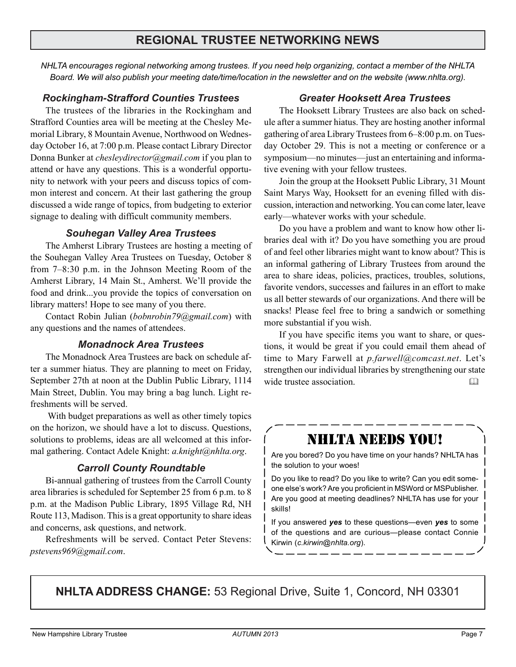# **REGIONAL TRUSTEE NETWORKING NEWS**

*NHLTA encourages regional networking among trustees. If you need help organizing, contact a member of the NHLTA Board. We will also publish your meeting date/time/location in the newsletter and on the website (www.nhlta.org).*

#### *Rockingham-Strafford Counties Trustees*

The trustees of the libraries in the Rockingham and Strafford Counties area will be meeting at the Chesley Memorial Library, 8 Mountain Avenue, Northwood on Wednesday October 16, at 7:00 p.m. Please contact Library Director Donna Bunker at *chesleydirector@gmail.com* if you plan to attend or have any questions. This is a wonderful opportunity to network with your peers and discuss topics of common interest and concern. At their last gathering the group discussed a wide range of topics, from budgeting to exterior signage to dealing with difficult community members.

#### *Souhegan Valley Area Trustees*

The Amherst Library Trustees are hosting a meeting of the Souhegan Valley Area Trustees on Tuesday, October 8 from 7–8:30 p.m. in the Johnson Meeting Room of the Amherst Library, 14 Main St., Amherst. We'll provide the food and drink...you provide the topics of conversation on library matters! Hope to see many of you there.

Contact Robin Julian (*bobnrobin79@gmail.com*) with any questions and the names of attendees.

### *Monadnock Area Trustees*

The Monadnock Area Trustees are back on schedule after a summer hiatus. They are planning to meet on Friday, September 27th at noon at the Dublin Public Library, 1114 Main Street, Dublin. You may bring a bag lunch. Light refreshments will be served.

 With budget preparations as well as other timely topics on the horizon, we should have a lot to discuss. Questions, solutions to problems, ideas are all welcomed at this informal gathering. Contact Adele Knight: *a.knight@nhlta.org*.

### *Carroll County Roundtable*

Bi-annual gathering of trustees from the Carroll County area libraries is scheduled for September 25 from 6 p.m. to 8 p.m. at the Madison Public Library, 1895 Village Rd, NH Route 113, Madison. This is a great opportunity to share ideas and concerns, ask questions, and network.

Refreshments will be served. Contact Peter Stevens: *pstevens969@gmail.com*.

### *Greater Hooksett Area Trustees*

The Hooksett Library Trustees are also back on schedule after a summer hiatus. They are hosting another informal gathering of area Library Trustees from 6–8:00 p.m. on Tuesday October 29. This is not a meeting or conference or a symposium—no minutes—just an entertaining and informative evening with your fellow trustees.

Join the group at the Hooksett Public Library, 31 Mount Saint Marys Way, Hooksett for an evening filled with discussion, interaction and networking. You can come later, leave early—whatever works with your schedule.

Do you have a problem and want to know how other libraries deal with it? Do you have something you are proud of and feel other libraries might want to know about? This is an informal gathering of Library Trustees from around the area to share ideas, policies, practices, troubles, solutions, favorite vendors, successes and failures in an effort to make us all better stewards of our organizations. And there will be snacks! Please feel free to bring a sandwich or something more substantial if you wish.

If you have specific items you want to share, or questions, it would be great if you could email them ahead of time to Mary Farwell at *p.farwell@comcast.net*. Let's strengthen our individual libraries by strengthening our state wide trustee association.

# NHLTA NEEDS YOU!

Are you bored? Do you have time on your hands? NHLTA has the solution to your woes!

Do you like to read? Do you like to write? Can you edit someone else's work? Are you proficient in MSWord or MSPublisher. Are you good at meeting deadlines? NHLTA has use for your skills!

If you answered *yes* to these questions—even *yes* to some of the questions and are curious—please contact Connie Kirwin (*c.kirwin@nhlta.org*).

**NHLTA ADDRESS CHANGE:** 53 Regional Drive, Suite 1, Concord, NH 03301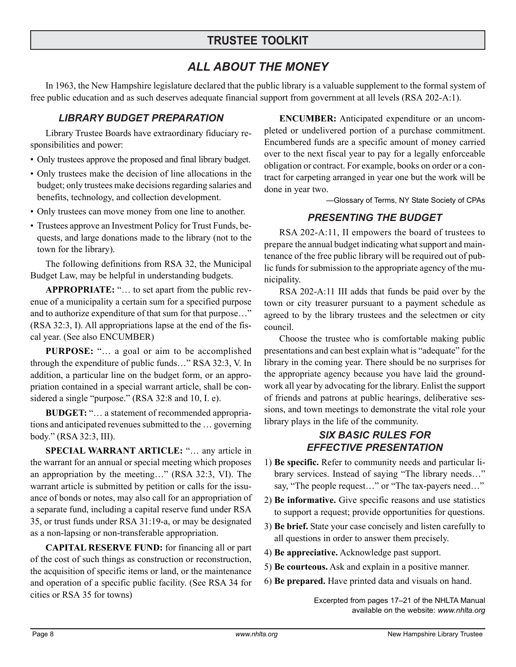# **TRUSTEE TOOLKIT**

# *ALL ABOUT THE MONEY*

In 1963, the New Hampshire legislature declared that the public library is a valuable supplement to the formal system of free public education and as such deserves adequate financial support from government at all levels (RSA 202-A:1).

### *LIBRARY BUDGET PREPARATION*

Library Trustee Boards have extraordinary fiduciary responsibilities and power:

- Only trustees approve the proposed and final library budget.
- Only trustees make the decision of line allocations in the budget; only trustees make decisions regarding salaries and benefits, technology, and collection development.
- Only trustees can move money from one line to another.
- Trustees approve an Investment Policy for Trust Funds, bequests, and large donations made to the library (not to the town for the library).

The following definitions from RSA 32, the Municipal Budget Law, may be helpful in understanding budgets.

**APPROPRIATE:** "… to set apart from the public revenue of a municipality a certain sum for a specified purpose and to authorize expenditure of that sum for that purpose…" (RSA 32:3, I). All appropriations lapse at the end of the fiscal year. (See also ENCUMBER)

**PURPOSE:** "… a goal or aim to be accomplished through the expenditure of public funds…" RSA 32:3, V. In addition, a particular line on the budget form, or an appropriation contained in a special warrant article, shall be considered a single "purpose." (RSA 32:8 and 10, I. e).

**BUDGET:** "… a statement of recommended appropriations and anticipated revenues submitted to the … governing body." (RSA 32:3, III).

**SPECIAL WARRANT ARTICLE:** "… any article in the warrant for an annual or special meeting which proposes an appropriation by the meeting…" (RSA 32:3, VI). The warrant article is submitted by petition or calls for the issuance of bonds or notes, may also call for an appropriation of a separate fund, including a capital reserve fund under RSA 35, or trust funds under RSA 31:19-a, or may be designated as a non-lapsing or non-transferable appropriation.

**CAPITAL RESERVE FUND:** for financing all or part of the cost of such things as construction or reconstruction, the acquisition of specific items or land, or the maintenance and operation of a specific public facility. (See RSA 34 for cities or RSA 35 for towns)

**ENCUMBER:** Anticipated expenditure or an uncompleted or undelivered portion of a purchase commitment. Encumbered funds are a specific amount of money carried over to the next fiscal year to pay for a legally enforceable obligation or contract. For example, books on order or a contract for carpeting arranged in year one but the work will be done in year two.

—Glossary of Terms, NY State Society of CPAs

### *PRESENTING THE BUDGET*

RSA 202-A:11, II empowers the board of trustees to prepare the annual budget indicating what support and maintenance of the free public library will be required out of public funds for submission to the appropriate agency of the municipality.

RSA 202-A:11 III adds that funds be paid over by the town or city treasurer pursuant to a payment schedule as agreed to by the library trustees and the selectmen or city council.

Choose the trustee who is comfortable making public presentations and can best explain what is "adequate" for the library in the coming year. There should be no surprises for the appropriate agency because you have laid the groundwork all year by advocating for the library. Enlist the support of friends and patrons at public hearings, deliberative sessions, and town meetings to demonstrate the vital role your library plays in the life of the community.

### *SIX BASIC RULES FOR EFFECTIVE PRESENTATION*

- 1) **Be specific.** Refer to community needs and particular library services. Instead of saying "The library needs…" say, "The people request…" or "The tax-payers need…"
- 2) **Be informative.** Give specific reasons and use statistics to support a request; provide opportunities for questions.
- 3) **Be brief.** State your case concisely and listen carefully to all questions in order to answer them precisely.
- 4) **Be appreciative.** Acknowledge past support.
- 5) **Be courteous.** Ask and explain in a positive manner.
- 6) **Be prepared.** Have printed data and visuals on hand.

Excerpted from pages 17–21 of the NHLTA Manual available on the website: *www.nhlta.org*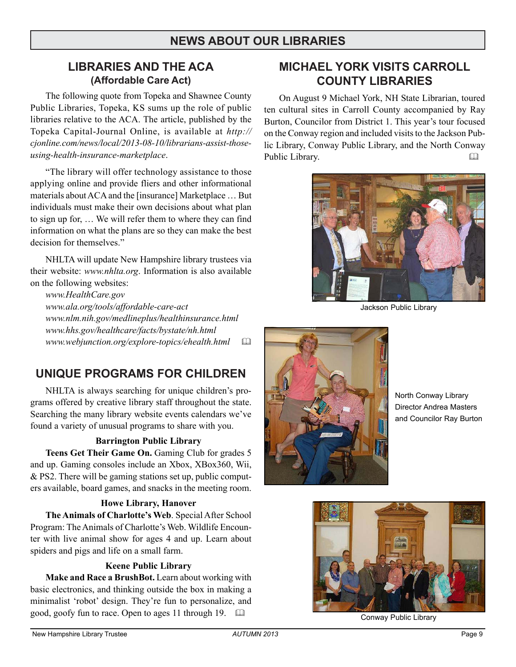# **NEWS ABOUT OUR LIBRARIES**

# **LIBRARIES AND THE ACA (Affordable Care Act)**

The following quote from Topeka and Shawnee County Public Libraries, Topeka, KS sums up the role of public libraries relative to the ACA. The article, published by the Topeka Capital-Journal Online, is available at *http:// cjonline.com/news/local/2013-08-10/librarians-assist-thoseusing-health-insurance-marketplace*.

"The library will offer technology assistance to those applying online and provide fliers and other informational materials about ACA and the [insurance] Marketplace … But individuals must make their own decisions about what plan to sign up for, … We will refer them to where they can find information on what the plans are so they can make the best decision for themselves."

NHLTA will update New Hampshire library trustees via their website: *www.nhlta.org*. Information is also available on the following websites:

*www.HealthCare.gov www.ala.org/tools/affordable-care-act www.nlm.nih.gov/medlineplus/healthinsurance.html www.hhs.gov/healthcare/facts/bystate/nh.html www.webjunction.org/explore-topics/ehealth.html* 

# **UNIQUE PROGRAMS FOR CHILDREN**

NHLTA is always searching for unique children's programs offered by creative library staff throughout the state. Searching the many library website events calendars we've found a variety of unusual programs to share with you.

#### **Barrington Public Library**

**Teens Get Their Game On.** Gaming Club for grades 5 and up. Gaming consoles include an Xbox, XBox360, Wii, & PS2. There will be gaming stations set up, public computers available, board games, and snacks in the meeting room.

#### **Howe Library, Hanover**

**The Animals of Charlotte's Web**. Special After School Program: The Animals of Charlotte's Web. Wildlife Encounter with live animal show for ages 4 and up. Learn about spiders and pigs and life on a small farm.

#### **Keene Public Library**

**Make and Race a BrushBot.** Learn about working with basic electronics, and thinking outside the box in making a minimalist 'robot' design. They're fun to personalize, and good, goofy fun to race. Open to ages 11 through 19. 

# **MICHAEL YORK VISITS CARROLL COUNTY LIBRARIES**

On August 9 Michael York, NH State Librarian, toured ten cultural sites in Carroll County accompanied by Ray Burton, Councilor from District 1. This year's tour focused on the Conway region and included visits to the Jackson Public Library, Conway Public Library, and the North Conway Public Library.



Jackson Public Library



North Conway Library Director Andrea Masters and Councilor Ray Burton



Conway Public Library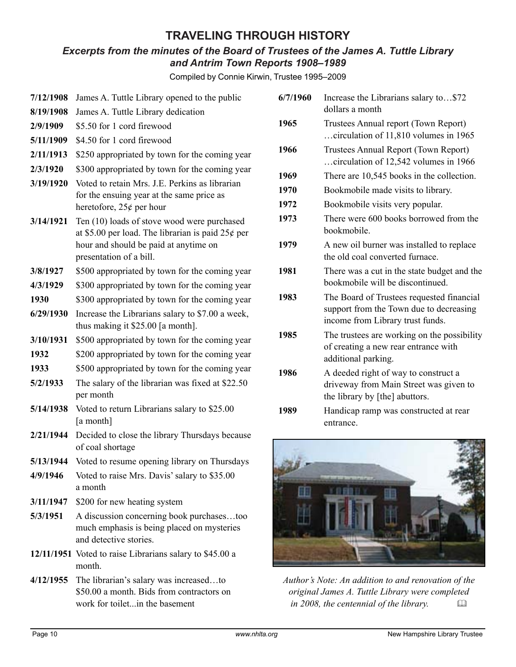# **TRAVELING THROUGH HISTORY**

### *Excerpts from the minutes of the Board of Trustees of the James A. Tuttle Library and Antrim Town Reports 1908–1989*

Compiled by Connie Kirwin, Trustee 1995–2009

| 7/12/1908 | James A. Tuttle Library opened to the public                                                 | 6/ |  |
|-----------|----------------------------------------------------------------------------------------------|----|--|
| 8/19/1908 | James A. Tuttle Library dedication                                                           |    |  |
| 2/9/1909  | \$5.50 for 1 cord firewood                                                                   |    |  |
| 5/11/1909 | \$4.50 for 1 cord firewood                                                                   |    |  |
| 2/11/1913 | \$250 appropriated by town for the coming year                                               | 19 |  |
| 2/3/1920  | \$300 appropriated by town for the coming year                                               |    |  |
| 3/19/1920 | Voted to retain Mrs. J.E. Perkins as librarian                                               | 19 |  |
|           | for the ensuing year at the same price as                                                    | 19 |  |
|           | heretofore, $25¢$ per hour                                                                   | 19 |  |
| 3/14/1921 | Ten (10) loads of stove wood were purchased                                                  | 19 |  |
|           | at \$5.00 per load. The librarian is paid $25¢$ per<br>hour and should be paid at anytime on | 19 |  |
|           | presentation of a bill.                                                                      |    |  |
| 3/8/1927  | \$500 appropriated by town for the coming year                                               | 19 |  |
| 4/3/1929  | \$300 appropriated by town for the coming year                                               |    |  |
| 1930      | \$300 appropriated by town for the coming year                                               | 19 |  |
| 6/29/1930 | Increase the Librarians salary to \$7.00 a week,                                             |    |  |
|           | thus making it \$25.00 [a month].                                                            |    |  |
| 3/10/1931 | \$500 appropriated by town for the coming year                                               | 19 |  |
| 1932      | \$200 appropriated by town for the coming year                                               |    |  |
| 1933      | \$500 appropriated by town for the coming year                                               | 19 |  |
| 5/2/1933  | The salary of the librarian was fixed at \$22.50                                             |    |  |
|           | per month                                                                                    |    |  |
| 5/14/1938 | Voted to return Librarians salary to \$25.00<br>[a month]                                    | 19 |  |
| 2/21/1944 | Decided to close the library Thursdays because                                               |    |  |
|           | of coal shortage                                                                             |    |  |
| 5/13/1944 | Voted to resume opening library on Thursdays                                                 |    |  |
| 4/9/1946  | Voted to raise Mrs. Davis' salary to \$35.00<br>a month                                      |    |  |
| 3/11/1947 | \$200 for new heating system                                                                 |    |  |
| 5/3/1951  | A discussion concerning book purchasestoo                                                    |    |  |
|           | much emphasis is being placed on mysteries<br>and detective stories.                         |    |  |
|           | 12/11/1951 Voted to raise Librarians salary to \$45.00 a                                     |    |  |
|           | month.                                                                                       |    |  |
| 4/12/1955 | The librarian's salary was increasedto                                                       |    |  |
|           | \$50.00 a month. Bids from contractors on<br>work for toiletin the basement                  |    |  |

| 6/7/1960 | Increase the Librarians salary to\$72<br>dollars a month                                                                 |  |  |
|----------|--------------------------------------------------------------------------------------------------------------------------|--|--|
| 1965     | Trustees Annual report (Town Report)<br>circulation of 11,810 volumes in 1965                                            |  |  |
| 1966     | Trustees Annual Report (Town Report)<br>circulation of 12,542 volumes in 1966                                            |  |  |
| 1969     | There are 10,545 books in the collection.                                                                                |  |  |
| 1970     | Bookmobile made visits to library.                                                                                       |  |  |
| 1972     | Bookmobile visits very popular.                                                                                          |  |  |
| 1973     | There were 600 books borrowed from the<br>bookmobile.                                                                    |  |  |
| 1979     | A new oil burner was installed to replace<br>the old coal converted furnace.                                             |  |  |
| 1981     | There was a cut in the state budget and the<br>bookmobile will be discontinued.                                          |  |  |
| 1983     | The Board of Trustees requested financial<br>support from the Town due to decreasing<br>income from Library trust funds. |  |  |
| 1985     | The trustees are working on the possibility<br>of creating a new rear entrance with<br>additional parking.               |  |  |
| 1986     | A deeded right of way to construct a<br>driveway from Main Street was given to<br>the library by [the] abuttors.         |  |  |
| 1989     | Handicap ramp was constructed at rear<br>entrance.                                                                       |  |  |



*Author's Note: An addition to and renovation of the original James A. Tuttle Library were completed in 2008, the centennial of the library.*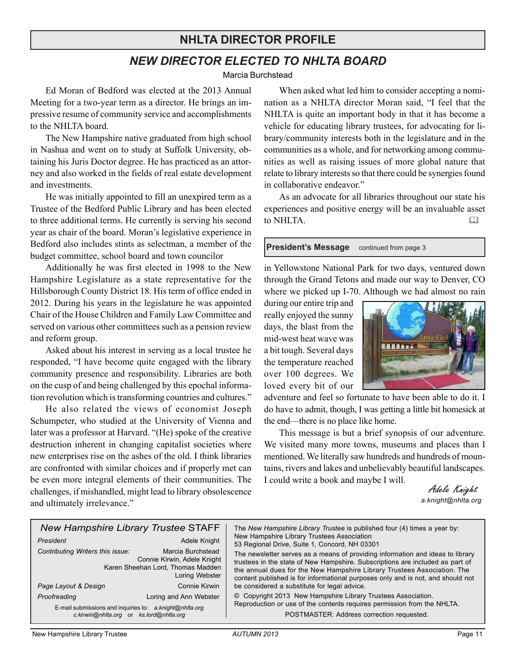# **NHLTA DIRECTOR PROFILE**

# *NEW DIRECTOR ELECTED TO NHLTA BOARD*

Marcia Burchstead

Ed Moran of Bedford was elected at the 2013 Annual Meeting for a two-year term as a director. He brings an impressive resume of community service and accomplishments to the NHLTA board.

The New Hampshire native graduated from high school in Nashua and went on to study at Suffolk University, obtaining his Juris Doctor degree. He has practiced as an attorney and also worked in the fields of real estate development and investments.

He was initially appointed to fill an unexpired term as a Trustee of the Bedford Public Library and has been elected to three additional terms. He currently is serving his second year as chair of the board. Moran's legislative experience in Bedford also includes stints as selectman, a member of the budget committee, school board and town councilor

Additionally he was first elected in 1998 to the New Hampshire Legislature as a state representative for the Hillsborough County District 18. His term of office ended in 2012. During his years in the legislature he was appointed Chair of the House Children and Family Law Committee and served on various other committees such as a pension review and reform group.

Asked about his interest in serving as a local trustee he responded, "I have become quite engaged with the library community presence and responsibility. Libraries are both on the cusp of and being challenged by this epochal information revolution which is transforming countries and cultures."

He also related the views of economist Joseph Schumpeter, who studied at the University of Vienna and later was a professor at Harvard. "(He) spoke of the creative destruction inherent in changing capitalist societies where new enterprises rise on the ashes of the old. I think libraries are confronted with similar choices and if properly met can be even more integral elements of their communities. The challenges, if mishandled, might lead to library obsolescence and ultimately irrelevance."

When asked what led him to consider accepting a nomination as a NHLTA director Moran said, "I feel that the NHLTA is quite an important body in that it has become a vehicle for educating library trustees, for advocating for library/community interests both in the legislature and in the communities as a whole, and for networking among communities as well as raising issues of more global nature that relate to library interests so that there could be synergies found in collaborative endeavor."

As an advocate for all libraries throughout our state his experiences and positive energy will be an invaluable asset to NHLTA. 

**President's Message** continued from page 3

in Yellowstone National Park for two days, ventured down through the Grand Tetons and made our way to Denver, CO where we picked up I-70. Although we had almost no rain

during our entire trip and really enjoyed the sunny days, the blast from the mid-west heat wave was a bit tough. Several days the temperature reached over 100 degrees. We loved every bit of our



adventure and feel so fortunate to have been able to do it. I do have to admit, though, I was getting a little bit homesick at the end—there is no place like home.

This message is but a brief synopsis of our adventure. We visited many more towns, museums and places than I mentioned. We literally saw hundreds and hundreds of mountains, rivers and lakes and unbelievably beautiful landscapes. I could write a book and maybe I will.

> Adele Knight *a.knight@nhlta.org*

| <b>New Hampshire Library Trustee STAFF</b><br>President<br>Contributing Writers this issue:      | Adele Knight<br>Marcia Burchstead<br>Connie Kirwin, Adele Knight<br>Karen Sheehan Lord, Thomas Madden<br>Loring Webster | The New Hampshire Library Trustee is published four (4) times a year by:<br>New Hampshire Library Trustees Association<br>53 Regional Drive, Suite 1, Concord, NH 03301<br>The newsletter serves as a means of providing information and ideas to library<br>trustees in the state of New Hampshire. Subscriptions are included as part of<br>the annual dues for the New Hampshire Library Trustees Association. The<br>content published is for informational purposes only and is not, and should not |  |
|--------------------------------------------------------------------------------------------------|-------------------------------------------------------------------------------------------------------------------------|----------------------------------------------------------------------------------------------------------------------------------------------------------------------------------------------------------------------------------------------------------------------------------------------------------------------------------------------------------------------------------------------------------------------------------------------------------------------------------------------------------|--|
| Page Layout & Design                                                                             | Connie Kirwin                                                                                                           | be considered a substitute for legal advice.                                                                                                                                                                                                                                                                                                                                                                                                                                                             |  |
| Proofreading<br>E-mail submissions and inquiries to: a.knight@nhlta.org<br>c.kirwin@nhlta.org or | Loring and Ann Webster<br>ks.lord@nhlta.org                                                                             | © Copyright 2013 New Hampshire Library Trustees Association.<br>Reproduction or use of the contents requires permission from the NHLTA.<br>POSTMASTER: Address correction requested.                                                                                                                                                                                                                                                                                                                     |  |